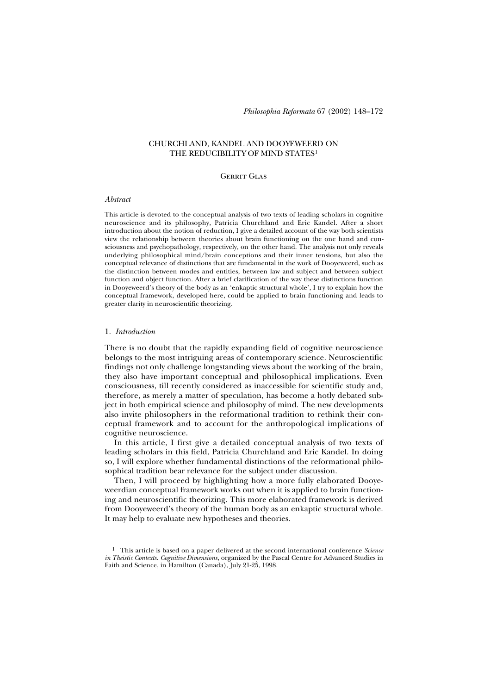# CHURCHLAND, KANDEL AND DOOYEWEERD ON THE REDUCIBILITY OF MIND STATES1

## Gerrit Glas

## *Abstract*

This article is devoted to the conceptual analysis of two texts of leading scholars in cognitive neuroscience and its philosophy, Patricia Churchland and Eric Kandel. After a short introduction about the notion of reduction, I give a detailed account of the way both scientists view the relationship between theories about brain functioning on the one hand and consciousness and psychopathology, respectively, on the other hand. The analysis not only reveals underlying philosophical mind/brain conceptions and their inner tensions, but also the conceptual relevance of distinctions that are fundamental in the work of Dooyeweerd, such as the distinction between modes and entities, between law and subject and between subject function and object function. After a brief clarification of the way these distinctions function in Dooyeweerd's theory of the body as an 'enkaptic structural whole', I try to explain how the conceptual framework, developed here, could be applied to brain functioning and leads to greater clarity in neuroscientific theorizing.

### 1. *Introduction*

֦

There is no doubt that the rapidly expanding field of cognitive neuroscience belongs to the most intriguing areas of contemporary science. Neuroscientific findings not only challenge longstanding views about the working of the brain, they also have important conceptual and philosophical implications. Even consciousness, till recently considered as inaccessible for scientific study and, therefore, as merely a matter of speculation, has become a hotly debated subject in both empirical science and philosophy of mind. The new developments also invite philosophers in the reformational tradition to rethink their conceptual framework and to account for the anthropological implications of cognitive neuroscience.

In this article, I first give a detailed conceptual analysis of two texts of leading scholars in this field, Patricia Churchland and Eric Kandel. In doing so, I will explore whether fundamental distinctions of the reformational philosophical tradition bear relevance for the subject under discussion.

Then, I will proceed by highlighting how a more fully elaborated Dooyeweerdian conceptual framework works out when it is applied to brain functioning and neuroscientific theorizing. This more elaborated framework is derived from Dooyeweerd's theory of the human body as an enkaptic structural whole. It may help to evaluate new hypotheses and theories.

<sup>1</sup> This article is based on a paper delivered at the second international conference *Science in Theistic Contexts. Cognitive Dimensions*, organized by the Pascal Centre for Advanced Studies in Faith and Science, in Hamilton (Canada), July 21-25, 1998.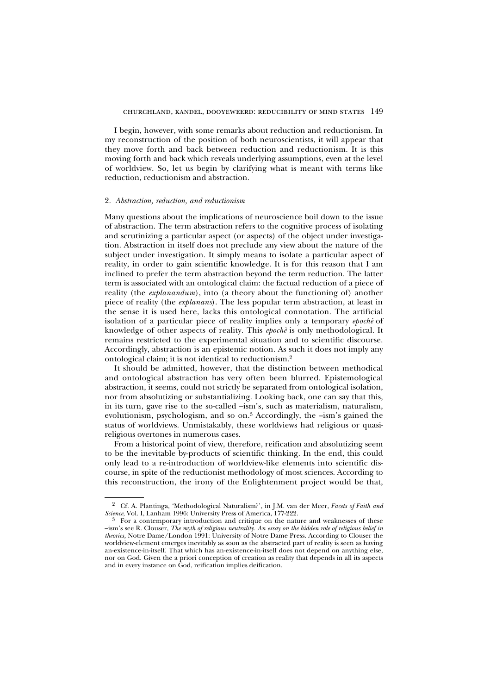I begin, however, with some remarks about reduction and reductionism. In my reconstruction of the position of both neuroscientists, it will appear that they move forth and back between reduction and reductionism. It is this moving forth and back which reveals underlying assumptions, even at the level of worldview. So, let us begin by clarifying what is meant with terms like reduction, reductionism and abstraction.

#### 2. *Abstraction, reduction, and reductionism*

 $\overline{a}$ 

Many questions about the implications of neuroscience boil down to the issue of abstraction. The term abstraction refers to the cognitive process of isolating and scrutinizing a particular aspect (or aspects) of the object under investigation. Abstraction in itself does not preclude any view about the nature of the subject under investigation. It simply means to isolate a particular aspect of reality, in order to gain scientific knowledge. It is for this reason that I am inclined to prefer the term abstraction beyond the term reduction. The latter term is associated with an ontological claim: the factual reduction of a piece of reality (the *explanandum*), into (a theory about the functioning of) another piece of reality (the *explanans*). The less popular term abstraction, at least in the sense it is used here, lacks this ontological connotation. The artificial isolation of a particular piece of reality implies only a temporary *epochè* of knowledge of other aspects of reality. This *epochè* is only methodological. It remains restricted to the experimental situation and to scientific discourse. Accordingly, abstraction is an epistemic notion. As such it does not imply any ontological claim; it is not identical to reductionism.2

It should be admitted, however, that the distinction between methodical and ontological abstraction has very often been blurred. Epistemological abstraction, it seems, could not strictly be separated from ontological isolation, nor from absolutizing or substantializing. Looking back, one can say that this, in its turn, gave rise to the so-called –ism's, such as materialism, naturalism, evolutionism, psychologism, and so on.3 Accordingly, the –ism's gained the status of worldviews. Unmistakably, these worldviews had religious or quasireligious overtones in numerous cases.

From a historical point of view, therefore, reification and absolutizing seem to be the inevitable by-products of scientific thinking. In the end, this could only lead to a re-introduction of worldview-like elements into scientific discourse, in spite of the reductionist methodology of most sciences. According to this reconstruction, the irony of the Enlightenment project would be that,

<sup>2</sup> Cf. A. Plantinga, 'Methodological Naturalism?', in J.M. van der Meer, *Facets of Faith and*

<sup>&</sup>lt;sup>3</sup> For a contemporary introduction and critique on the nature and weaknesses of these –ism's see R. Clouser, *The myth of religious neutrality. An essay on the hidden role of religious belief in theories,* Notre Dame/London 1991: University of Notre Dame Press. According to Clouser the worldview-element emerges inevitably as soon as the abstracted part of reality is seen as having an-existence-in-itself. That which has an-existence-in-itself does not depend on anything else, nor on God. Given the a priori conception of creation as reality that depends in all its aspects and in every instance on God, reification implies deification.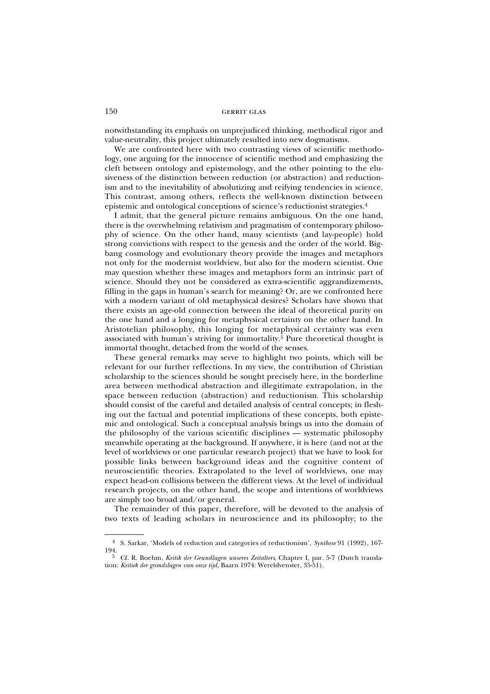notwithstanding its emphasis on unprejudiced thinking, methodical rigor and value-neutrality, this project ultimately resulted into new dogmatisms.

We are confronted here with two contrasting views of scientific methodology, one arguing for the innocence of scientific method and emphasizing the cleft between ontology and epistemology, and the other pointing to the elusiveness of the distinction between reduction (or abstraction) and reductionism and to the inevitability of absolutizing and reifying tendencies in science. This contrast, among others, reflects the well-known distinction between epistemic and ontological conceptions of science's reductionist strategies.4

I admit, that the general picture remains ambiguous. On the one hand, there is the overwhelming relativism and pragmatism of contemporary philosophy of science. On the other hand, many scientists (and lay-people) hold strong convictions with respect to the genesis and the order of the world. Bigbang cosmology and evolutionary theory provide the images and metaphors not only for the modernist worldview, but also for the modern scientist. One may question whether these images and metaphors form an intrinsic part of science. Should they not be considered as extra-scientific aggrandizements, filling in the gaps in human's search for meaning? Or, are we confronted here with a modern variant of old metaphysical desires? Scholars have shown that there exists an age-old connection between the ideal of theoretical purity on the one hand and a longing for metaphysical certainty on the other hand. In Aristotelian philosophy, this longing for metaphysical certainty was even associated with human's striving for immortality.5 Pure theoretical thought is immortal thought, detached from the world of the senses.

These general remarks may serve to highlight two points, which will be relevant for our further reflections. In my view, the contribution of Christian scholarship to the sciences should be sought precisely here, in the borderline area between methodical abstraction and illegitimate extrapolation, in the space between reduction (abstraction) and reductionism. This scholarship should consist of the careful and detailed analysis of central concepts; in fleshing out the factual and potential implications of these concepts, both epistemic and ontological. Such a conceptual analysis brings us into the domain of the philosophy of the various scientific disciplines — systematic philosophy meanwhile operating at the background. If anywhere, it is here (and not at the level of worldviews or one particular research project) that we have to look for possible links between background ideas and the cognitive content of neuroscientific theories. Extrapolated to the level of worldviews, one may expect head-on collisions between the different views. At the level of individual research projects, on the other hand, the scope and intentions of worldviews are simply too broad and/or general.

The remainder of this paper, therefore, will be devoted to the analysis of two texts of leading scholars in neuroscience and its philosophy; to the

<sup>4</sup> S. Sarkar, 'Models of reduction and categories of reductionism', *Synthese* 91 (1992), 167- 194.

<sup>5</sup> Cf. R. Boehm, *Kritik der Grundlagen unseres Zeitalters*, Chapter I, par. 5-7 (Dutch translation: *Kritiek der grondslagen van onze tijd,* Baarn 1974: Wereldvenster, 35-51).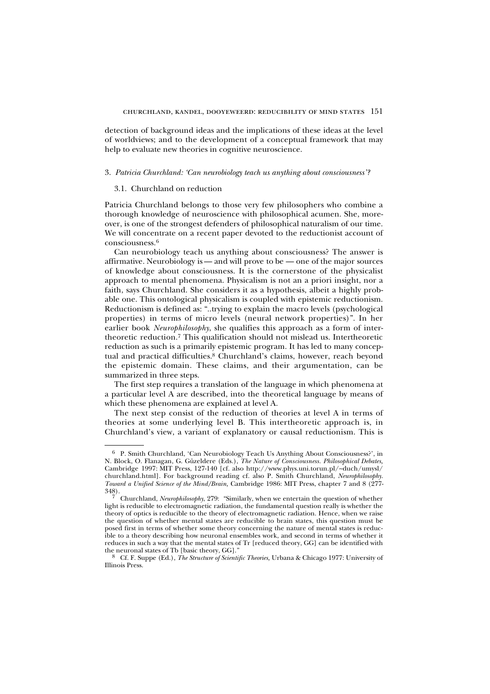detection of background ideas and the implications of these ideas at the level of worldviews; and to the development of a conceptual framework that may help to evaluate new theories in cognitive neuroscience.

#### 3. *Patricia Churchland: 'Can neurobiology teach us anything about consciousness'?*

### 3.1. Churchland on reduction

l

Patricia Churchland belongs to those very few philosophers who combine a thorough knowledge of neuroscience with philosophical acumen. She, moreover, is one of the strongest defenders of philosophical naturalism of our time. We will concentrate on a recent paper devoted to the reductionist account of consciousness.6

Can neurobiology teach us anything about consciousness? The answer is affirmative. Neurobiology is — and will prove to be — one of the major sources of knowledge about consciousness. It is the cornerstone of the physicalist approach to mental phenomena. Physicalism is not an a priori insight, nor a faith, says Churchland. She considers it as a hypothesis, albeit a highly probable one. This ontological physicalism is coupled with epistemic reductionism. Reductionism is defined as: "..trying to explain the macro levels (psychological properties) in terms of micro levels (neural network properties)". In her earlier book *Neurophilosophy*, she qualifies this approach as a form of intertheoretic reduction.7 This qualification should not mislead us. Intertheoretic reduction as such is a primarily epistemic program. It has led to many conceptual and practical difficulties.8 Churchland's claims, however, reach beyond the epistemic domain. These claims, and their argumentation, can be summarized in three steps.

The first step requires a translation of the language in which phenomena at a particular level A are described, into the theoretical language by means of which these phenomena are explained at level A.

The next step consist of the reduction of theories at level A in terms of theories at some underlying level B. This intertheoretic approach is, in Churchland's view, a variant of explanatory or causal reductionism. This is

<sup>6</sup> P. Smith Churchland, 'Can Neurobiology Teach Us Anything About Consciousness?', in N. Block, O. Flanagan, G. Güzeldere (Eds.), *The Nature of Consciousness. Philosophical Debates,* Cambridge 1997: MIT Press, 127-140 [cf. also http://www.phys.uni.torun.pl/~duch/umysl/ churchland.html]. For background reading cf. also P. Smith Churchland, *Neurophilosophy. Toward a Unified Science of the Mind/Brain, Cambridge 1986: MIT Press, chapter 7 and 8 (277-*

<sup>348).</sup> 7 Churchland, *Neurophilosophy*, 279: "Similarly, when we entertain the question of whether light is reducible to electromagnetic radiation, the fundamental question really is whether the theory of optics is reducible to the theory of electromagnetic radiation. Hence, when we raise the question of whether mental states are reducible to brain states, this question must be posed first in terms of whether some theory concerning the nature of mental states is reducible to a theory describing how neuronal ensembles work, and second in terms of whether it reduces in such a way that the mental states of Tr [reduced theory, GG] can be identified with

<sup>8</sup> Cf. F. Suppe (Ed.), *The Structure of Scientific Theories*, Urbana & Chicago 1977: University of Illinois Press.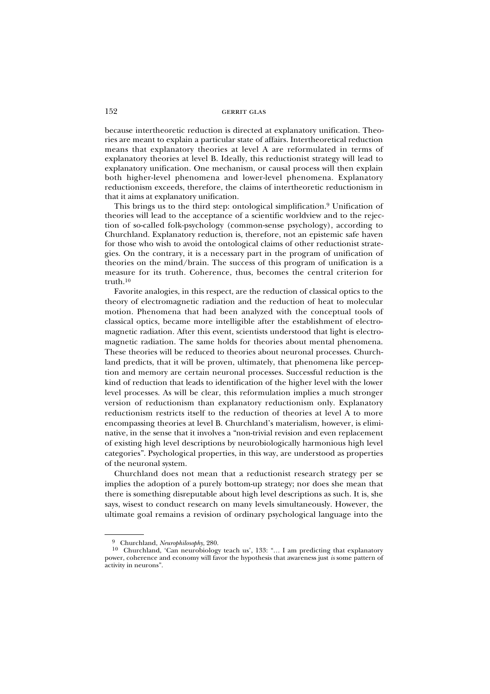because intertheoretic reduction is directed at explanatory unification. Theories are meant to explain a particular state of affairs. Intertheoretical reduction means that explanatory theories at level A are reformulated in terms of explanatory theories at level B. Ideally, this reductionist strategy will lead to explanatory unification. One mechanism, or causal process will then explain both higher-level phenomena and lower-level phenomena. Explanatory reductionism exceeds, therefore, the claims of intertheoretic reductionism in that it aims at explanatory unification.

This brings us to the third step: ontological simplification.9 Unification of theories will lead to the acceptance of a scientific worldview and to the rejection of so-called folk-psychology (common-sense psychology), according to Churchland. Explanatory reduction is, therefore, not an epistemic safe haven for those who wish to avoid the ontological claims of other reductionist strategies. On the contrary, it is a necessary part in the program of unification of theories on the mind/brain. The success of this program of unification is a measure for its truth. Coherence, thus, becomes the central criterion for truth.10

Favorite analogies, in this respect, are the reduction of classical optics to the theory of electromagnetic radiation and the reduction of heat to molecular motion. Phenomena that had been analyzed with the conceptual tools of classical optics, became more intelligible after the establishment of electromagnetic radiation. After this event, scientists understood that light is electromagnetic radiation. The same holds for theories about mental phenomena. These theories will be reduced to theories about neuronal processes. Churchland predicts, that it will be proven, ultimately, that phenomena like perception and memory are certain neuronal processes. Successful reduction is the kind of reduction that leads to identification of the higher level with the lower level processes. As will be clear, this reformulation implies a much stronger version of reductionism than explanatory reductionism only. Explanatory reductionism restricts itself to the reduction of theories at level A to more encompassing theories at level B. Churchland's materialism, however, is eliminative, in the sense that it involves a "non-trivial revision and even replacement of existing high level descriptions by neurobiologically harmonious high level categories". Psychological properties, in this way, are understood as properties of the neuronal system.

Churchland does not mean that a reductionist research strategy per se implies the adoption of a purely bottom-up strategy; nor does she mean that there is something disreputable about high level descriptions as such. It is, she says, wisest to conduct research on many levels simultaneously. However, the ultimate goal remains a revision of ordinary psychological language into the

<sup>9</sup> Churchland, *Neurophilosophy*, 280.

<sup>10</sup> Churchland, 'Can neurobiology teach us', 133: "… I am predicting that explanatory power, coherence and economy will favor the hypothesis that awareness just *is* some pattern of activity in neurons".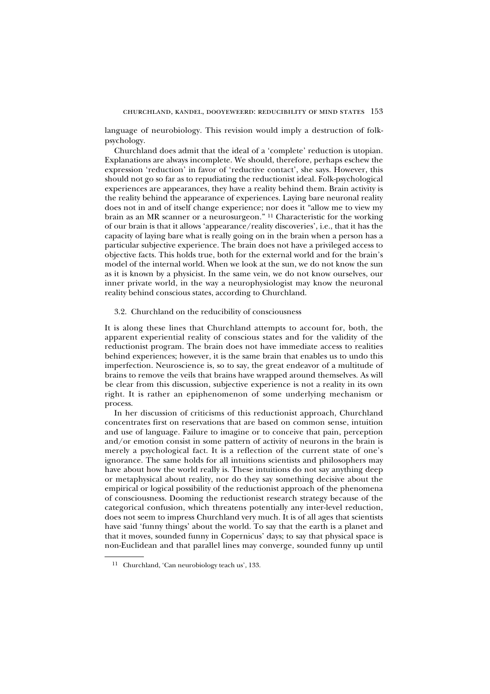language of neurobiology. This revision would imply a destruction of folkpsychology.

Churchland does admit that the ideal of a 'complete' reduction is utopian. Explanations are always incomplete. We should, therefore, perhaps eschew the expression 'reduction' in favor of 'reductive contact', she says. However, this should not go so far as to repudiating the reductionist ideal. Folk-psychological experiences are appearances, they have a reality behind them. Brain activity is the reality behind the appearance of experiences. Laying bare neuronal reality does not in and of itself change experience; nor does it "allow me to view my brain as an MR scanner or a neurosurgeon." 11 Characteristic for the working of our brain is that it allows 'appearance/reality discoveries', i.e., that it has the capacity of laying bare what is really going on in the brain when a person has a particular subjective experience. The brain does not have a privileged access to objective facts. This holds true, both for the external world and for the brain's model of the internal world. When we look at the sun, we do not know the sun as it is known by a physicist. In the same vein, we do not know ourselves, our inner private world, in the way a neurophysiologist may know the neuronal reality behind conscious states, according to Churchland.

### 3.2. Churchland on the reducibility of consciousness

It is along these lines that Churchland attempts to account for, both, the apparent experiential reality of conscious states and for the validity of the reductionist program. The brain does not have immediate access to realities behind experiences; however, it is the same brain that enables us to undo this imperfection. Neuroscience is, so to say, the great endeavor of a multitude of brains to remove the veils that brains have wrapped around themselves. As will be clear from this discussion, subjective experience is not a reality in its own right. It is rather an epiphenomenon of some underlying mechanism or process.

In her discussion of criticisms of this reductionist approach, Churchland concentrates first on reservations that are based on common sense, intuition and use of language. Failure to imagine or to conceive that pain, perception and/or emotion consist in some pattern of activity of neurons in the brain is merely a psychological fact. It is a reflection of the current state of one's ignorance. The same holds for all intuitions scientists and philosophers may have about how the world really is. These intuitions do not say anything deep or metaphysical about reality, nor do they say something decisive about the empirical or logical possibility of the reductionist approach of the phenomena of consciousness. Dooming the reductionist research strategy because of the categorical confusion, which threatens potentially any inter-level reduction, does not seem to impress Churchland very much. It is of all ages that scientists have said 'funny things' about the world. To say that the earth is a planet and that it moves, sounded funny in Copernicus' days; to say that physical space is non-Euclidean and that parallel lines may converge, sounded funny up until

 $11$  Churchland, 'Can neurobiology teach us', 133.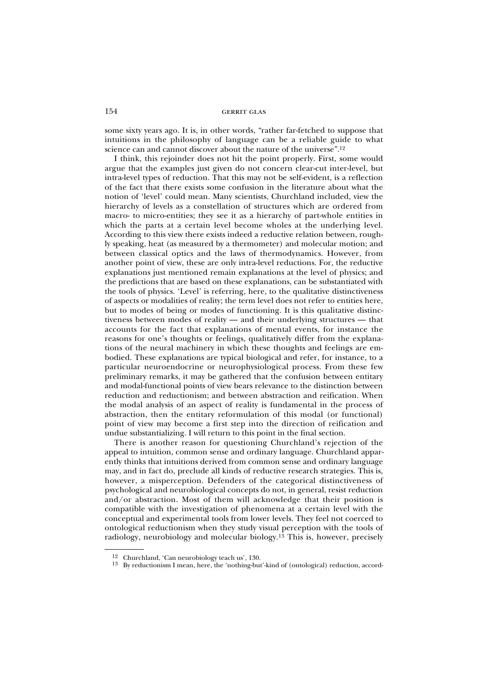some sixty years ago. It is, in other words, "rather far-fetched to suppose that intuitions in the philosophy of language can be a reliable guide to what science can and cannot discover about the nature of the universe".<sup>12</sup>

I think, this rejoinder does not hit the point properly. First, some would argue that the examples just given do not concern clear-cut inter-level, but intra-level types of reduction. That this may not be self-evident, is a reflection of the fact that there exists some confusion in the literature about what the notion of 'level' could mean. Many scientists, Churchland included, view the hierarchy of levels as a constellation of structures which are ordered from macro- to micro-entities; they see it as a hierarchy of part-whole entities in which the parts at a certain level become wholes at the underlying level. According to this view there exists indeed a reductive relation between, roughly speaking, heat (as measured by a thermometer) and molecular motion; and between classical optics and the laws of thermodynamics. However, from another point of view, these are only intra-level reductions. For, the reductive explanations just mentioned remain explanations at the level of physics; and the predictions that are based on these explanations, can be substantiated with the tools of physics. 'Level' is referring, here, to the qualitative distinctiveness of aspects or modalities of reality; the term level does not refer to entities here, but to modes of being or modes of functioning. It is this qualitative distinctiveness between modes of reality — and their underlying structures — that accounts for the fact that explanations of mental events, for instance the reasons for one's thoughts or feelings, qualitatively differ from the explanations of the neural machinery in which these thoughts and feelings are embodied. These explanations are typical biological and refer, for instance, to a particular neuroendocrine or neurophysiological process. From these few preliminary remarks, it may be gathered that the confusion between entitary and modal-functional points of view bears relevance to the distinction between reduction and reductionism; and between abstraction and reification. When the modal analysis of an aspect of reality is fundamental in the process of abstraction, then the entitary reformulation of this modal (or functional) point of view may become a first step into the direction of reification and undue substantializing. I will return to this point in the final section.

There is another reason for questioning Churchland's rejection of the appeal to intuition, common sense and ordinary language. Churchland apparently thinks that intuitions derived from common sense and ordinary language may, and in fact do, preclude all kinds of reductive research strategies. This is, however, a misperception. Defenders of the categorical distinctiveness of psychological and neurobiological concepts do not, in general, resist reduction and/or abstraction. Most of them will acknowledge that their position is compatible with the investigation of phenomena at a certain level with the conceptual and experimental tools from lower levels. They feel not coerced to ontological reductionism when they study visual perception with the tools of radiology, neurobiology and molecular biology.13 This is, however, precisely

<sup>&</sup>lt;sup>12</sup> Churchland, 'Can neurobiology teach us', 130.<br><sup>13</sup> By reductionism I mean, here, the 'nothing-but'-kind of (ontological) reduction, accord-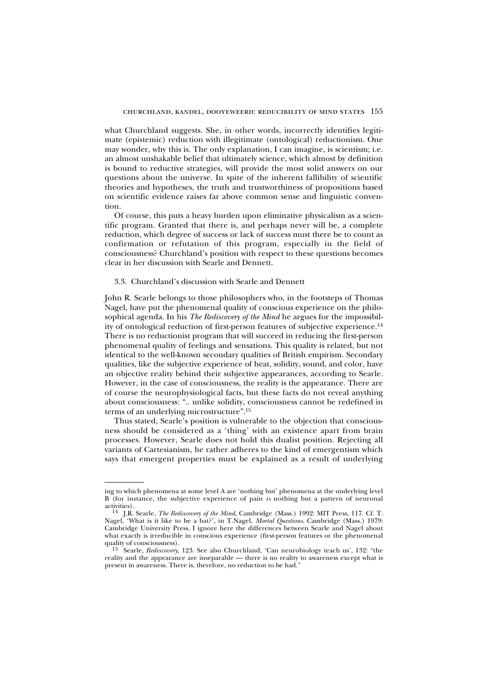what Churchland suggests. She, in other words, incorrectly identifies legitimate (epistemic) reduction with illegitimate (ontological) reductionism. One may wonder, why this is. The only explanation, I can imagine, is scientism; i.e. an almost unshakable belief that ultimately science, which almost by definition is bound to reductive strategies, will provide the most solid answers on our questions about the universe. In spite of the inherent fallibility of scientific theories and hypotheses, the truth and trustworthiness of propositions based on scientific evidence raises far above common sense and linguistic convention.

Of course, this puts a heavy burden upon eliminative physicalism as a scientific program. Granted that there is, and perhaps never will be, a complete reduction, which degree of success or lack of success must there be to count as confirmation or refutation of this program, especially in the field of consciousness? Churchland's position with respect to these questions becomes clear in her discussion with Searle and Dennett.

#### 3.3. Churchland's discussion with Searle and Dennett

John R. Searle belongs to those philosophers who, in the footsteps of Thomas Nagel, have put the phenomenal quality of conscious experience on the philosophical agenda. In his *The Rediscovery of the Mind* he argues for the impossibility of ontological reduction of first-person features of subjective experience.14 There is no reductionist program that will succeed in reducing the first-person phenomenal quality of feelings and sensations. This quality is related, but not identical to the well-known secondary qualities of British empirism. Secondary qualities, like the subjective experience of heat, solidity, sound, and color, have an objective reality behind their subjective appearances, according to Searle. However, in the case of consciousness, the reality is the appearance. There are of course the neurophysiological facts, but these facts do not reveal anything about consciousness: ".. unlike solidity, consciousness cannot be redefined in terms of an underlying microstructure".15

Thus stated, Searle's position is vulnerable to the objection that consciousness should be considered as a 'thing' with an existence apart from brain processes. However, Searle does not hold this dualist position. Rejecting all variants of Cartesianism, he rather adheres to the kind of emergentism which says that emergent properties must be explained as a result of underlying

ing to which phenomena at some level A are 'nothing but' phenomena at the underlying level B (for instance, the subjective experience of pain *is* nothing but a pattern of neuronal activities). 14 J.R. Searle, *The Rediscovery of the Mind*, Cambridge (Mass.) 1992: MIT Press, 117. Cf. T.

Nagel, 'What is it like to be a bat?', in T.Nagel, *Mortal Questions*. Cambridge (Mass.) 1979: Cambridge University Press. I ignore here the differences between Searle and Nagel about what exactly is irreducible in conscious experience (first-person features or the phenomenal quality of consciousness).

<sup>&</sup>lt;sup>15</sup> Searle, *Rediscovery*, 123. See also Churchland, 'Can neurobiology teach us', 132: "the reality and the appearance are inseparable — there is no reality to awareness except what is present in awareness. There is, therefore, no reduction to be had."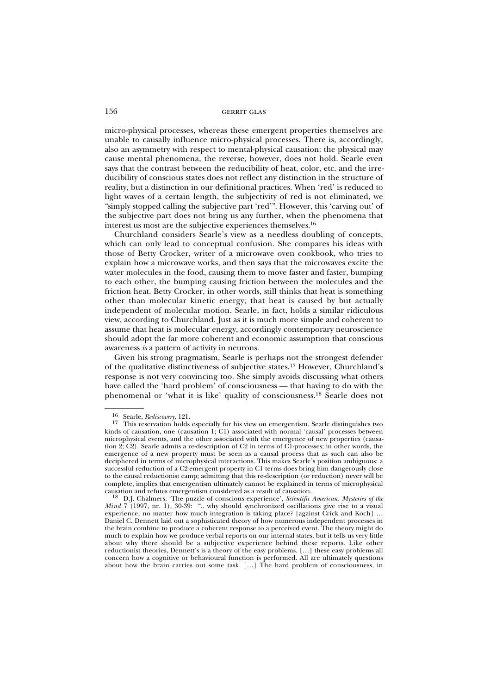micro-physical processes, whereas these emergent properties themselves are unable to causally influence micro-physical processes. There is, accordingly, also an asymmetry with respect to mental-physical causation: the physical may cause mental phenomena, the reverse, however, does not hold. Searle even says that the contrast between the reducibility of heat, color, etc. and the irreducibility of conscious states does not reflect any distinction in the structure of reality, but a distinction in our definitional practices. When 'red' is reduced to light waves of a certain length, the subjectivity of red is not eliminated, we "simply stopped calling the subjective part 'red'". However, this 'carving out' of the subjective part does not bring us any further, when the phenomena that interest us most are the subjective experiences themselves.16

Churchland considers Searle's view as a needless doubling of concepts, which can only lead to conceptual confusion. She compares his ideas with those of Betty Crocker, writer of a microwave oven cookbook, who tries to explain how a microwave works, and then says that the microwaves excite the water molecules in the food, causing them to move faster and faster, bumping to each other, the bumping causing friction between the molecules and the friction heat. Betty Crocker, in other words, still thinks that heat is something other than molecular kinetic energy; that heat is caused by but actually independent of molecular motion. Searle, in fact, holds a similar ridiculous view, according to Churchland. Just as it is much more simple and coherent to assume that heat is molecular energy, accordingly contemporary neuroscience should adopt the far more coherent and economic assumption that conscious awareness *is* a pattern of activity in neurons.

Given his strong pragmatism, Searle is perhaps not the strongest defender of the qualitative distinctiveness of subjective states.17 However, Churchland's response is not very convincing too. She simply avoids discussing what others have called the 'hard problem' of consciousness — that having to do with the phenomenal or 'what it is like' quality of consciousness.18 Searle does not

<sup>16</sup> Searle, *Rediscovery*, 121.

<sup>&</sup>lt;sup>17</sup> This reservation holds especially for his view on emergentism. Searle distinguishes two kinds of causation, one (causation 1; C1) associated with normal 'causal' processes between microphysical events, and the other associated with the emergence of new properties (causation 2; C2). Searle admits a re-description of C2 in terms of C1-processes; in other words, the emergence of a new property must be seen as a causal process that as such can also be deciphered in terms of microphysical interactions. This makes Searle's position ambiguous: a successful reduction of a C2-emergent property in C1 terms does bring him dangerously close to the causal reductionist camp; admitting that this re-description (or reduction) never will be complete, implies that emergentism ultimately cannot be explained in terms of microphysical

<sup>&</sup>lt;sup>18</sup> D.J. Chalmers, 'The puzzle of conscious experience', *Scientific American. Mysteries of the Mind* 7 (1997, nr. 1), 30-39: ".. why should synchronized oscillations give rise to a visual experience, no matter how much integration is taking place? [against Crick and Koch] … Daniel C. Dennett laid out a sophisticated theory of how numerous independent processes in the brain combine to produce a coherent response to a perceived event. The theory might do much to explain how we produce verbal reports on our internal states, but it tells us very little about why there should be a subjective experience behind these reports. Like other reductionist theories, Dennett's is a theory of the easy problems. […] these easy problems all concern how a cognitive or behavioural function is performed. All are ultimately questions about how the brain carries out some task. […] The hard problem of consciousness, in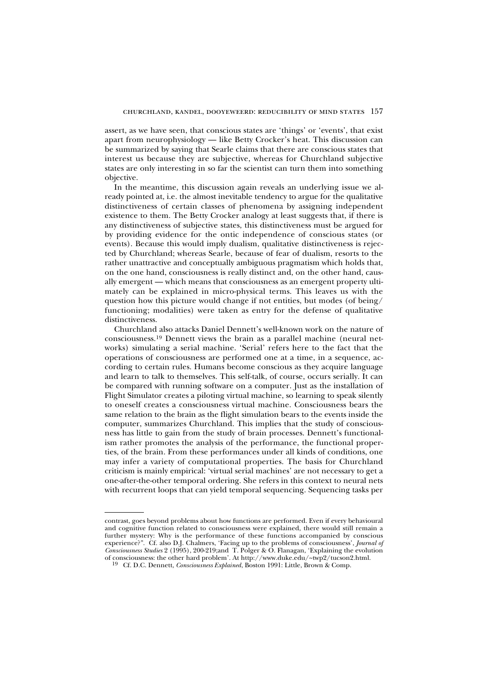assert, as we have seen, that conscious states are 'things' or 'events', that exist apart from neurophysiology — like Betty Crocker's heat. This discussion can be summarized by saying that Searle claims that there are conscious states that interest us because they are subjective, whereas for Churchland subjective states are only interesting in so far the scientist can turn them into something objective.

In the meantime, this discussion again reveals an underlying issue we already pointed at, i.e. the almost inevitable tendency to argue for the qualitative distinctiveness of certain classes of phenomena by assigning independent existence to them. The Betty Crocker analogy at least suggests that, if there is any distinctiveness of subjective states, this distinctiveness must be argued for by providing evidence for the ontic independence of conscious states (or events). Because this would imply dualism, qualitative distinctiveness is rejected by Churchland; whereas Searle, because of fear of dualism, resorts to the rather unattractive and conceptually ambiguous pragmatism which holds that, on the one hand, consciousness is really distinct and, on the other hand, causally emergent — which means that consciousness as an emergent property ultimately can be explained in micro-physical terms. This leaves us with the question how this picture would change if not entities, but modes (of being/ functioning; modalities) were taken as entry for the defense of qualitative distinctiveness.

Churchland also attacks Daniel Dennett's well-known work on the nature of consciousness.19 Dennett views the brain as a parallel machine (neural networks) simulating a serial machine. 'Serial' refers here to the fact that the operations of consciousness are performed one at a time, in a sequence, according to certain rules. Humans become conscious as they acquire language and learn to talk to themselves. This self-talk, of course, occurs serially. It can be compared with running software on a computer. Just as the installation of Flight Simulator creates a piloting virtual machine, so learning to speak silently to oneself creates a consciousness virtual machine. Consciousness bears the same relation to the brain as the flight simulation bears to the events inside the computer, summarizes Churchland. This implies that the study of consciousness has little to gain from the study of brain processes. Dennett's functionalism rather promotes the analysis of the performance, the functional properties, of the brain. From these performances under all kinds of conditions, one may infer a variety of computational properties. The basis for Churchland criticism is mainly empirical: 'virtual serial machines' are not necessary to get a one-after-the-other temporal ordering. She refers in this context to neural nets with recurrent loops that can yield temporal sequencing. Sequencing tasks per

contrast, goes beyond problems about how functions are performed. Even if every behavioural and cognitive function related to consciousness were explained, there would still remain a further mystery: Why is the performance of these functions accompanied by conscious experience?". Cf. also D.J. Chalmers, 'Facing up to the problems of consciousness', *Journal of Consciousness Studies* 2 (1995), 200-219;and T. Polger & O. Flanagan, 'Explaining the evolution of consciousness: the other hard problem'. At http://www.duke.edu/~twp2/tucson2.html.

<sup>&</sup>lt;sup>19</sup> Cf. D.C. Dennett, *Consciousness Explained*, Boston 1991: Little, Brown & Comp.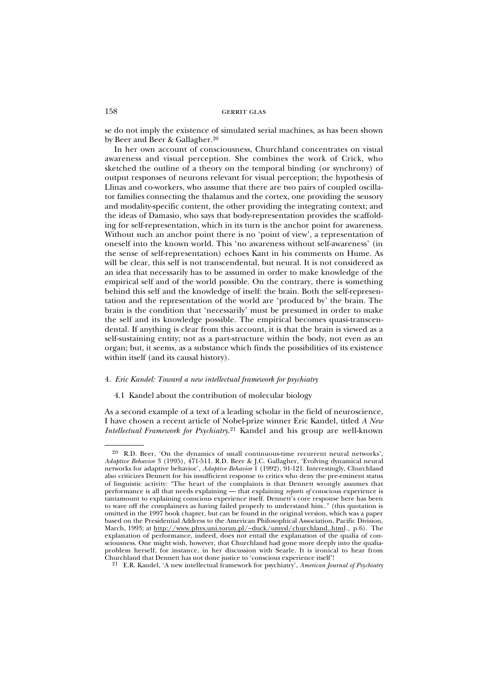se do not imply the existence of simulated serial machines, as has been shown by Beer and Beer & Gallagher.20

In her own account of consciousness, Churchland concentrates on visual awareness and visual perception. She combines the work of Crick, who sketched the outline of a theory on the temporal binding (or synchrony) of output responses of neurons relevant for visual perception; the hypothesis of Llinas and co-workers, who assume that there are two pairs of coupled oscillator families connecting the thalamus and the cortex, one providing the sensory and modality-specific content, the other providing the integrating context; and the ideas of Damasio, who says that body-representation provides the scaffolding for self-representation, which in its turn is the anchor point for awareness. Without such an anchor point there is no 'point of view', a representation of oneself into the known world. This 'no awareness without self-awareness' (in the sense of self-representation) echoes Kant in his comments on Hume. As will be clear, this self is not transcendental, but neural. It is not considered as an idea that necessarily has to be assumed in order to make knowledge of the empirical self and of the world possible. On the contrary, there is something behind this self and the knowledge of itself: the brain. Both the self-representation and the representation of the world are 'produced by' the brain. The brain is the condition that 'necessarily' must be presumed in order to make the self and its knowledge possible. The empirical becomes quasi-transcendental. If anything is clear from this account, it is that the brain is viewed as a self-sustaining entity; not as a part-structure within the body, not even as an organ; but, it seems, as a substance which finds the possibilities of its existence within itself (and its causal history).

## 4. *Eric Kandel: Toward a new intellectual framework for psychiatry*

## 4.1 Kandel about the contribution of molecular biology

As a second example of a text of a leading scholar in the field of neuroscience, I have chosen a recent article of Nobel-prize winner Eric Kandel, titled *A New Intellectual Framework for Psychiatry*.21 Kandel and his group are well-known

l

 $20$  R.D. Beer, 'On the dynamics of small continuous-time recurrent neural networks', *Adaptive Behavior* 3 (1995), 471-511. R.D. Beer & J.C. Gallagher, 'Evolving dynamical neural networks for adaptive behavior', *Adaptive Behavior* 1 (1992), 91-121. Interestingly, Churchland also criticizes Dennett for his insufficient response to critics who deny the pre-eminent status of linguistic activity: "The heart of the complaints is that Dennett wrongly assumes that performance is all that needs explaining — that explaining *reports of* conscious experience is tantamount to explaining conscious experience itself. Dennett's core response here has been to wave off the complainers as having failed properly to understand him.." (this quotation is omitted in the 1997 book chapter, but can be found in the original version, which was a paper based on the Presidential Address to the American Philosophical Association, Pacific Division, March, 1993; at http://www.phys.uni.torun.pl/~duck/umysl/churchland..html., p.6). The explanation of performance, indeed, does not entail the explanation of the qualia of consciousness. One might wish, however, that Churchland had gone more deeply into the qualiaproblem herself, for instance, in her discussion with Searle. It is ironical to hear from

<sup>&</sup>lt;sup>21</sup> E.R. Kandel, 'A new intellectual framework for psychiatry', *American Journal of Psychiatry*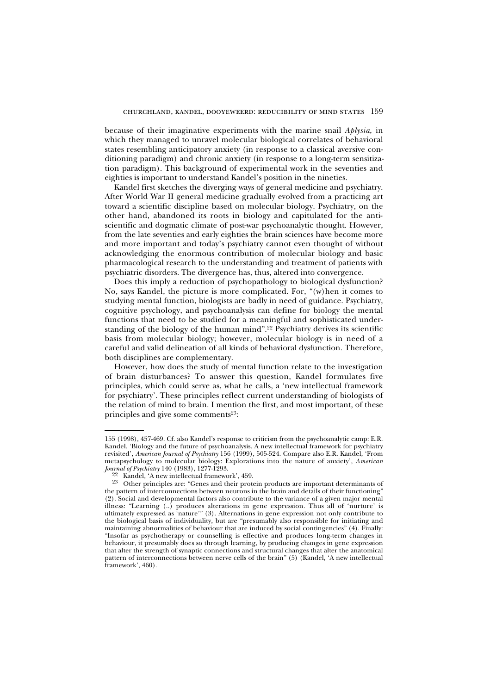because of their imaginative experiments with the marine snail *Aplysia*, in which they managed to unravel molecular biological correlates of behavioral states resembling anticipatory anxiety (in response to a classical aversive conditioning paradigm) and chronic anxiety (in response to a long-term sensitization paradigm). This background of experimental work in the seventies and eighties is important to understand Kandel's position in the nineties.

Kandel first sketches the diverging ways of general medicine and psychiatry. After World War II general medicine gradually evolved from a practicing art toward a scientific discipline based on molecular biology. Psychiatry, on the other hand, abandoned its roots in biology and capitulated for the antiscientific and dogmatic climate of post-war psychoanalytic thought. However, from the late seventies and early eighties the brain sciences have become more and more important and today's psychiatry cannot even thought of without acknowledging the enormous contribution of molecular biology and basic pharmacological research to the understanding and treatment of patients with psychiatric disorders. The divergence has, thus, altered into convergence.

Does this imply a reduction of psychopathology to biological dysfunction? No, says Kandel, the picture is more complicated. For, "(w)hen it comes to studying mental function, biologists are badly in need of guidance. Psychiatry, cognitive psychology, and psychoanalysis can define for biology the mental functions that need to be studied for a meaningful and sophisticated understanding of the biology of the human mind".22 Psychiatry derives its scientific basis from molecular biology; however, molecular biology is in need of a careful and valid delineation of all kinds of behavioral dysfunction. Therefore, both disciplines are complementary.

However, how does the study of mental function relate to the investigation of brain disturbances? To answer this question, Kandel formulates five principles, which could serve as, what he calls, a 'new intellectual framework for psychiatry'. These principles reflect current understanding of biologists of the relation of mind to brain. I mention the first, and most important, of these principles and give some comments23:

<sup>155 (1998), 457-469.</sup> Cf. also Kandel's response to criticism from the psychoanalytic camp: E.R. Kandel, 'Biology and the future of psychoanalysis. A new intellectual framework for psychiatry revisited', *American Journal of Psychiatry* 156 (1999), 505-524. Compare also E.R. Kandel, 'From metapsychology to molecular biology: Explorations into the nature of anxiety', *American Journal of Psychiatry* 140 (1983), 1277-1293.

<sup>22</sup> Kandel, 'A new intellectual framework', 459.

<sup>&</sup>lt;sup>23</sup> Other principles are: "Genes and their protein products are important determinants of the pattern of interconnections between neurons in the brain and details of their functioning" (2). Social and developmental factors also contribute to the variance of a given major mental illness: "Learning (..) produces alterations in gene expression. Thus all of 'nurture' is ultimately expressed as 'nature'" (3). Alternations in gene expression not only contribute to the biological basis of individuality, but are "presumably also responsible for initiating and maintaining abnormalities of behaviour that are induced by social contingencies" (4). Finally: "Insofar as psychotherapy or counselling is effective and produces long-term changes in behaviour, it presumably does so through learning, by producing changes in gene expression that alter the strength of synaptic connections and structural changes that alter the anatomical pattern of interconnections between nerve cells of the brain" (5) (Kandel, 'A new intellectual framework', 460).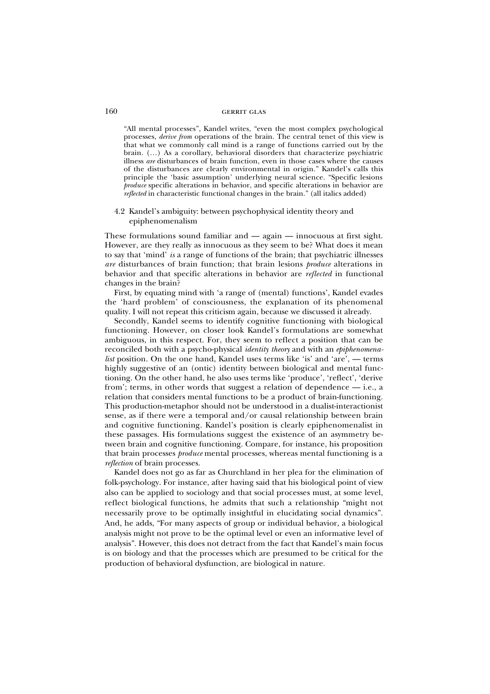"All mental processes", Kandel writes, "even the most complex psychological processes, *derive from* operations of the brain. The central tenet of this view is that what we commonly call mind is a range of functions carried out by the brain. (…) As a corollary, behavioral disorders that characterize psychiatric illness *are* disturbances of brain function, even in those cases where the causes of the disturbances are clearly environmental in origin." Kandel's calls this principle the 'basic assumption' underlying neural science. "Specific lesions *produce* specific alterations in behavior, and specific alterations in behavior are *reflected* in characteristic functional changes in the brain." (all italics added)

## 4.2 Kandel's ambiguity: between psychophysical identity theory and epiphenomenalism

These formulations sound familiar and — again — innocuous at first sight. However, are they really as innocuous as they seem to be? What does it mean to say that 'mind' *is* a range of functions of the brain; that psychiatric illnesses *are* disturbances of brain function; that brain lesions *produce* alterations in behavior and that specific alterations in behavior are *reflected* in functional changes in the brain?

First, by equating mind with 'a range of (mental) functions', Kandel evades the 'hard problem' of consciousness, the explanation of its phenomenal quality. I will not repeat this criticism again, because we discussed it already.

Secondly, Kandel seems to identify cognitive functioning with biological functioning. However, on closer look Kandel's formulations are somewhat ambiguous, in this respect. For, they seem to reflect a position that can be reconciled both with a psycho-physical *identity theory* and with an *epiphenomenalist* position. On the one hand, Kandel uses terms like 'is' and 'are', — terms highly suggestive of an (ontic) identity between biological and mental functioning. On the other hand, he also uses terms like 'produce', 'reflect', 'derive from'; terms, in other words that suggest a relation of dependence — i.e., a relation that considers mental functions to be a product of brain-functioning. This production-metaphor should not be understood in a dualist-interactionist sense, as if there were a temporal and/or causal relationship between brain and cognitive functioning. Kandel's position is clearly epiphenomenalist in these passages. His formulations suggest the existence of an asymmetry between brain and cognitive functioning. Compare, for instance, his proposition that brain processes *produce* mental processes, whereas mental functioning is a *reflection* of brain processes.

Kandel does not go as far as Churchland in her plea for the elimination of folk-psychology. For instance, after having said that his biological point of view also can be applied to sociology and that social processes must, at some level, reflect biological functions, he admits that such a relationship "might not necessarily prove to be optimally insightful in elucidating social dynamics". And, he adds, "For many aspects of group or individual behavior, a biological analysis might not prove to be the optimal level or even an informative level of analysis". However, this does not detract from the fact that Kandel's main focus is on biology and that the processes which are presumed to be critical for the production of behavioral dysfunction, are biological in nature.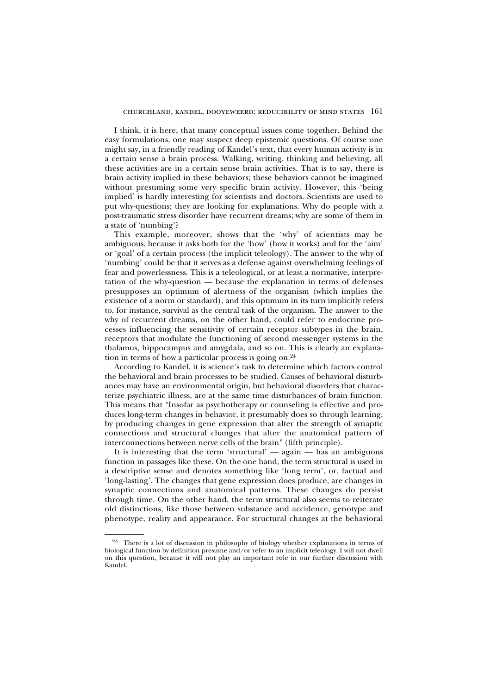## churchland, kandel, dooyeweerd: reducibility of mind states 161

I think, it is here, that many conceptual issues come together. Behind the easy formulations, one may suspect deep epistemic questions. Of course one might say, in a friendly reading of Kandel's text, that every human activity is in a certain sense a brain process. Walking, writing, thinking and believing, all these activities are in a certain sense brain activities. That is to say, there is brain activity implied in these behaviors; these behaviors cannot be imagined without presuming some very specific brain activity. However, this 'being implied' is hardly interesting for scientists and doctors. Scientists are used to put why-questions; they are looking for explanations. Why do people with a post-traumatic stress disorder have recurrent dreams; why are some of them in a state of 'numbing'?

This example, moreover, shows that the 'why' of scientists may be ambiguous, because it asks both for the 'how' (how it works) and for the 'aim' or 'goal' of a certain process (the implicit teleology). The answer to the why of 'numbing' could be that it serves as a defense against overwhelming feelings of fear and powerlessness. This is a teleological, or at least a normative, interpretation of the why-question — because the explanation in terms of defenses presupposes an optimum of alertness of the organism (which implies the existence of a norm or standard), and this optimum in its turn implicitly refers to, for instance, survival as the central task of the organism. The answer to the why of recurrent dreams, on the other hand, could refer to endocrine processes influencing the sensitivity of certain receptor subtypes in the brain, receptors that modulate the functioning of second messenger systems in the thalamus, hippocampus and amygdala, and so on. This is clearly an explanation in terms of how a particular process is going on.24

According to Kandel, it is science's task to determine which factors control the behavioral and brain processes to be studied. Causes of behavioral disturbances may have an environmental origin, but behavioral disorders that characterize psychiatric illness, are at the same time disturbances of brain function. This means that "Insofar as psychotherapy or counseling is effective and produces long-term changes in behavior, it presumably does so through learning, by producing changes in gene expression that alter the strength of synaptic connections and structural changes that alter the anatomical pattern of interconnections between nerve cells of the brain" (fifth principle).

It is interesting that the term 'structural' — again — has an ambiguous function in passages like these. On the one hand, the term structural is used in a descriptive sense and denotes something like 'long term', or, factual and 'long-lasting'. The changes that gene expression does produce, are changes in synaptic connections and anatomical patterns. These changes do persist through time. On the other hand, the term structural also seems to reiterate old distinctions, like those between substance and accidence, genotype and phenotype, reality and appearance. For structural changes at the behavioral

<sup>24</sup> There is a lot of discussion in philosophy of biology whether explanations in terms of biological function by definition presume and/or refer to an implicit teleology. I will not dwell on this question, because it will not play an important role in our further discussion with Kandel.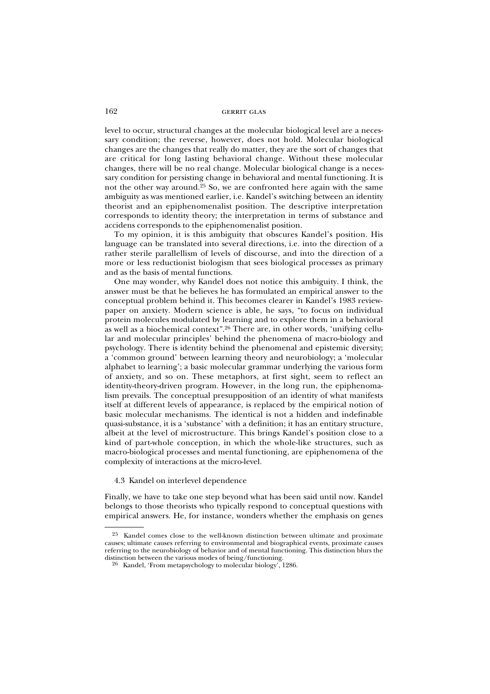level to occur, structural changes at the molecular biological level are a necessary condition; the reverse, however, does not hold. Molecular biological changes are the changes that really do matter, they are the sort of changes that are critical for long lasting behavioral change. Without these molecular changes, there will be no real change. Molecular biological change is a necessary condition for persisting change in behavioral and mental functioning. It is not the other way around.25 So, we are confronted here again with the same ambiguity as was mentioned earlier, i.e. Kandel's switching between an identity theorist and an epiphenomenalist position. The descriptive interpretation corresponds to identity theory; the interpretation in terms of substance and accidens corresponds to the epiphenomenalist position.

To my opinion, it is this ambiguity that obscures Kandel's position. His language can be translated into several directions, i.e. into the direction of a rather sterile parallellism of levels of discourse, and into the direction of a more or less reductionist biologism that sees biological processes as primary and as the basis of mental functions.

One may wonder, why Kandel does not notice this ambiguity. I think, the answer must be that he believes he has formulated an empirical answer to the conceptual problem behind it. This becomes clearer in Kandel's 1983 reviewpaper on anxiety. Modern science is able, he says, "to focus on individual protein molecules modulated by learning and to explore them in a behavioral as well as a biochemical context".26 There are, in other words, 'unifying cellular and molecular principles' behind the phenomena of macro-biology and psychology. There is identity behind the phenomenal and epistemic diversity; a 'common ground' between learning theory and neurobiology; a 'molecular alphabet to learning'; a basic molecular grammar underlying the various form of anxiety, and so on. These metaphors, at first sight, seem to reflect an identity-theory-driven program. However, in the long run, the epiphenomalism prevails. The conceptual presupposition of an identity of what manifests itself at different levels of appearance, is replaced by the empirical notion of basic molecular mechanisms. The identical is not a hidden and indefinable quasi-substance, it is a 'substance' with a definition; it has an entitary structure, albeit at the level of microstructure. This brings Kandel's position close to a kind of part-whole conception, in which the whole-like structures, such as macro-biological processes and mental functioning, are epiphenomena of the complexity of interactions at the micro-level.

4.3 Kandel on interlevel dependence

 $\overline{a}$ 

Finally, we have to take one step beyond what has been said until now. Kandel belongs to those theorists who typically respond to conceptual questions with empirical answers. He, for instance, wonders whether the emphasis on genes

<sup>&</sup>lt;sup>25</sup> Kandel comes close to the well-known distinction between ultimate and proximate causes; ultimate causes referring to environmental and biographical events, proximate causes referring to the neurobiology of behavior and of mental functioning. This distinction blurs the distinction between the various modes of being/functioning.

 $\overline{a}^2$  Kandel, 'From metapsychology to molecular biology', 1286.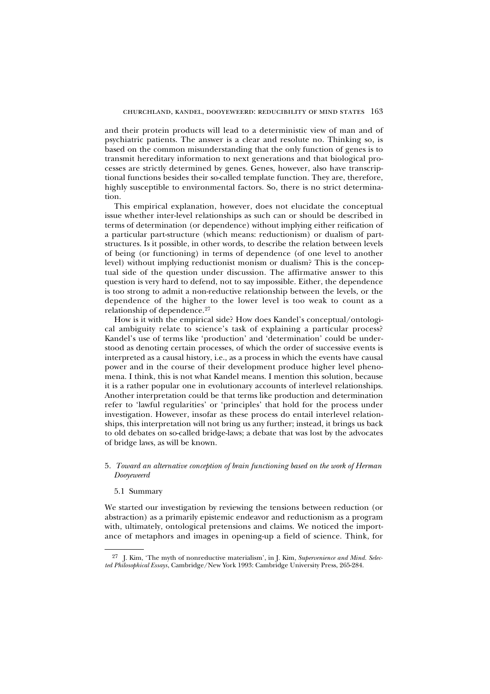and their protein products will lead to a deterministic view of man and of psychiatric patients. The answer is a clear and resolute no. Thinking so, is based on the common misunderstanding that the only function of genes is to transmit hereditary information to next generations and that biological processes are strictly determined by genes. Genes, however, also have transcriptional functions besides their so-called template function. They are, therefore, highly susceptible to environmental factors. So, there is no strict determination.

This empirical explanation, however, does not elucidate the conceptual issue whether inter-level relationships as such can or should be described in terms of determination (or dependence) without implying either reification of a particular part-structure (which means: reductionism) or dualism of partstructures. Is it possible, in other words, to describe the relation between levels of being (or functioning) in terms of dependence (of one level to another level) without implying reductionist monism or dualism? This is the conceptual side of the question under discussion. The affirmative answer to this question is very hard to defend, not to say impossible. Either, the dependence is too strong to admit a non-reductive relationship between the levels, or the dependence of the higher to the lower level is too weak to count as a relationship of dependence.27

How is it with the empirical side? How does Kandel's conceptual/ontological ambiguity relate to science's task of explaining a particular process? Kandel's use of terms like 'production' and 'determination' could be understood as denoting certain processes, of which the order of successive events is interpreted as a causal history, i.e., as a process in which the events have causal power and in the course of their development produce higher level phenomena. I think, this is not what Kandel means. I mention this solution, because it is a rather popular one in evolutionary accounts of interlevel relationships. Another interpretation could be that terms like production and determination refer to 'lawful regularities' or 'principles' that hold for the process under investigation. However, insofar as these process do entail interlevel relationships, this interpretation will not bring us any further; instead, it brings us back to old debates on so-called bridge-laws; a debate that was lost by the advocates of bridge laws, as will be known.

## 5. *Toward an alternative conception of brain functioning based on the work of Herman Dooyeweerd*

## 5.1 Summary

֦

We started our investigation by reviewing the tensions between reduction (or abstraction) as a primarily epistemic endeavor and reductionism as a program with, ultimately, ontological pretensions and claims. We noticed the importance of metaphors and images in opening-up a field of science. Think, for

<sup>27</sup> J. Kim, 'The myth of nonreductive materialism', in J. Kim, *Supervenience and Mind. Selected Philosophical Essays*, Cambridge/New York 1993: Cambridge University Press, 265-284.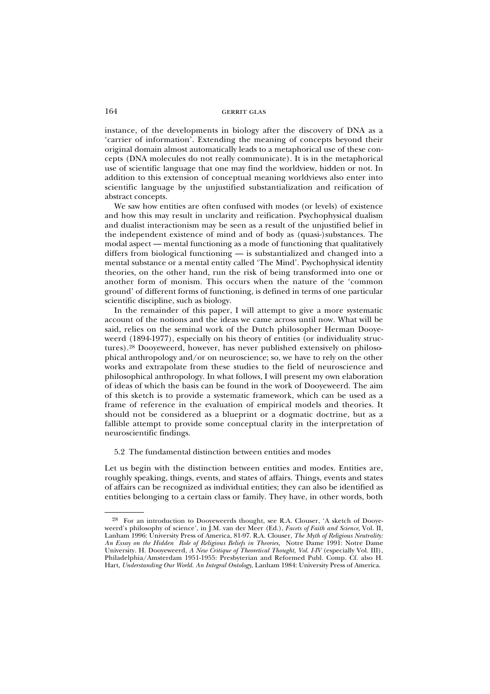instance, of the developments in biology after the discovery of DNA as a 'carrier of information'. Extending the meaning of concepts beyond their original domain almost automatically leads to a metaphorical use of these concepts (DNA molecules do not really communicate). It is in the metaphorical use of scientific language that one may find the worldview, hidden or not. In addition to this extension of conceptual meaning worldviews also enter into scientific language by the unjustified substantialization and reification of abstract concepts.

We saw how entities are often confused with modes (or levels) of existence and how this may result in unclarity and reification. Psychophysical dualism and dualist interactionism may be seen as a result of the unjustified belief in the independent existence of mind and of body as (quasi-)substances. The modal aspect — mental functioning as a mode of functioning that qualitatively differs from biological functioning — is substantialized and changed into a mental substance or a mental entity called 'The Mind'. Psychophysical identity theories, on the other hand, run the risk of being transformed into one or another form of monism. This occurs when the nature of the 'common ground' of different forms of functioning, is defined in terms of one particular scientific discipline, such as biology.

In the remainder of this paper, I will attempt to give a more systematic account of the notions and the ideas we came across until now. What will be said, relies on the seminal work of the Dutch philosopher Herman Dooyeweerd (1894-1977), especially on his theory of entities (or individuality structures).28 Dooyeweerd, however, has never published extensively on philosophical anthropology and/or on neuroscience; so, we have to rely on the other works and extrapolate from these studies to the field of neuroscience and philosophical anthropology. In what follows, I will present my own elaboration of ideas of which the basis can be found in the work of Dooyeweerd. The aim of this sketch is to provide a systematic framework, which can be used as a frame of reference in the evaluation of empirical models and theories. It should not be considered as a blueprint or a dogmatic doctrine, but as a fallible attempt to provide some conceptual clarity in the interpretation of neuroscientific findings.

# 5.2 The fundamental distinction between entities and modes

Let us begin with the distinction between entities and modes. Entities are, roughly speaking, things, events, and states of affairs. Things, events and states of affairs can be recognized as individual entities; they can also be identified as entities belonging to a certain class or family. They have, in other words, both

<sup>28</sup> For an introduction to Dooyeweerds thought, see R.A. Clouser, 'A sketch of Dooyeweerd's philosophy of science', in J.M. van der Meer (Ed.), *Facets of Faith and Science,* Vol. II, Lanham 1996: University Press of America, 81-97. R.A. Clouser, *The Myth of Religious Neutrality: An Essay on the Hidden Role of Religious Beliefs in Theories,* Notre Dame 1991: Notre Dame University. H. Dooyeweerd, *A New Critique of Theoretical Thought, Vol. I-IV* (especially Vol. III), Philadelphia/Amsterdam 1951-1955: Presbyterian and Reformed Publ. Comp. Cf. also H. Hart, *Understanding Our World. An Integral Ontology*, Lanham 1984: University Press of America.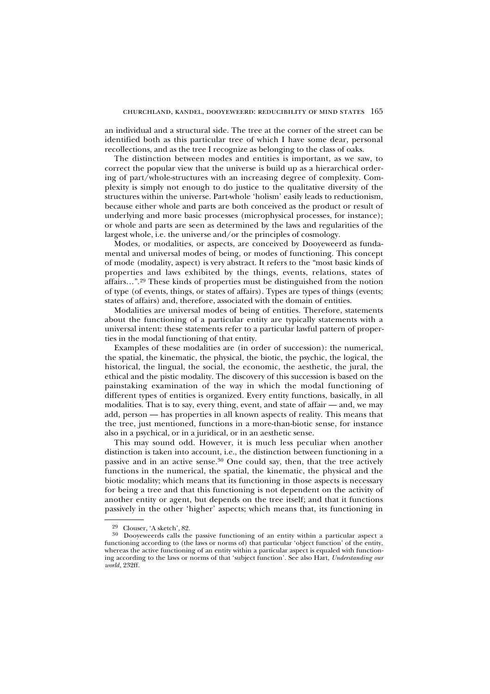an individual and a structural side. The tree at the corner of the street can be identified both as this particular tree of which I have some dear, personal recollections, and as the tree I recognize as belonging to the class of oaks.

The distinction between modes and entities is important, as we saw, to correct the popular view that the universe is build up as a hierarchical ordering of part/whole-structures with an increasing degree of complexity. Complexity is simply not enough to do justice to the qualitative diversity of the structures within the universe. Part-whole 'holism' easily leads to reductionism, because either whole and parts are both conceived as the product or result of underlying and more basic processes (microphysical processes, for instance); or whole and parts are seen as determined by the laws and regularities of the largest whole, i.e. the universe and/or the principles of cosmology.

Modes, or modalities, or aspects, are conceived by Dooyeweerd as fundamental and universal modes of being, or modes of functioning. This concept of mode (modality, aspect) is very abstract. It refers to the "most basic kinds of properties and laws exhibited by the things, events, relations, states of affairs…".29 These kinds of properties must be distinguished from the notion of type (of events, things, or states of affairs). Types are types of things (events; states of affairs) and, therefore, associated with the domain of entities.

Modalities are universal modes of being of entities. Therefore, statements about the functioning of a particular entity are typically statements with a universal intent: these statements refer to a particular lawful pattern of properties in the modal functioning of that entity.

Examples of these modalities are (in order of succession): the numerical, the spatial, the kinematic, the physical, the biotic, the psychic, the logical, the historical, the lingual, the social, the economic, the aesthetic, the jural, the ethical and the pistic modality. The discovery of this succession is based on the painstaking examination of the way in which the modal functioning of different types of entities is organized. Every entity functions, basically, in all modalities. That is to say, every thing, event, and state of affair — and, we may add, person — has properties in all known aspects of reality. This means that the tree, just mentioned, functions in a more-than-biotic sense, for instance also in a psychical, or in a juridical, or in an aesthetic sense.

This may sound odd. However, it is much less peculiar when another distinction is taken into account, i.e., the distinction between functioning in a passive and in an active sense.30 One could say, then, that the tree actively functions in the numerical, the spatial, the kinematic, the physical and the biotic modality; which means that its functioning in those aspects is necessary for being a tree and that this functioning is not dependent on the activity of another entity or agent, but depends on the tree itself; and that it functions passively in the other 'higher' aspects; which means that, its functioning in

<sup>&</sup>lt;sup>29</sup> Clouser, 'A sketch', 82.<br><sup>30</sup> Dooyeweerds calls the passive functioning of an entity within a particular aspect a functioning according to (the laws or norms of) that particular 'object function' of the entity, whereas the active functioning of an entity within a particular aspect is equaled with functioning according to the laws or norms of that 'subject function'. See also Hart, *Understanding our world*, 232ff.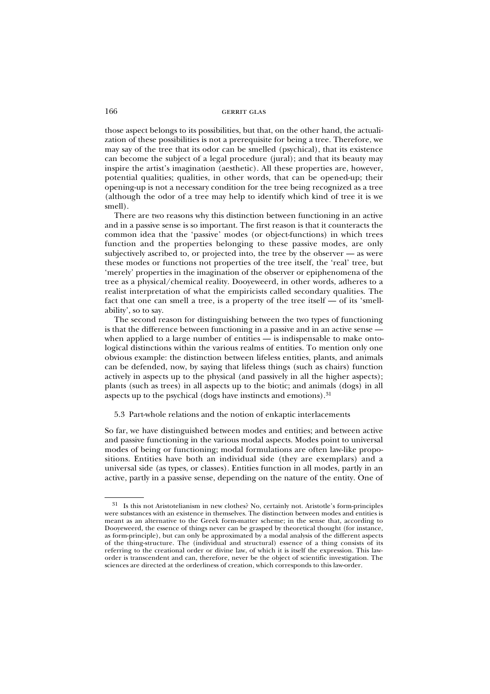those aspect belongs to its possibilities, but that, on the other hand, the actualization of these possibilities is not a prerequisite for being a tree. Therefore, we may say of the tree that its odor can be smelled (psychical), that its existence can become the subject of a legal procedure (jural); and that its beauty may inspire the artist's imagination (aesthetic). All these properties are, however, potential qualities; qualities, in other words, that can be opened-up; their opening-up is not a necessary condition for the tree being recognized as a tree (although the odor of a tree may help to identify which kind of tree it is we smell).

There are two reasons why this distinction between functioning in an active and in a passive sense is so important. The first reason is that it counteracts the common idea that the 'passive' modes (or object-functions) in which trees function and the properties belonging to these passive modes, are only subjectively ascribed to, or projected into, the tree by the observer — as were these modes or functions not properties of the tree itself, the 'real' tree, but 'merely' properties in the imagination of the observer or epiphenomena of the tree as a physical/chemical reality. Dooyeweerd, in other words, adheres to a realist interpretation of what the empiricists called secondary qualities. The fact that one can smell a tree, is a property of the tree itself — of its 'smellability', so to say.

The second reason for distinguishing between the two types of functioning is that the difference between functioning in a passive and in an active sense when applied to a large number of entities — is indispensable to make ontological distinctions within the various realms of entities. To mention only one obvious example: the distinction between lifeless entities, plants, and animals can be defended, now, by saying that lifeless things (such as chairs) function actively in aspects up to the physical (and passively in all the higher aspects); plants (such as trees) in all aspects up to the biotic; and animals (dogs) in all aspects up to the psychical (dogs have instincts and emotions).31

5.3 Part-whole relations and the notion of enkaptic interlacements

So far, we have distinguished between modes and entities; and between active and passive functioning in the various modal aspects. Modes point to universal modes of being or functioning; modal formulations are often law-like propositions. Entities have both an individual side (they are exemplars) and a universal side (as types, or classes). Entities function in all modes, partly in an active, partly in a passive sense, depending on the nature of the entity. One of

<sup>31</sup> Is this not Aristotelianism in new clothes? No, certainly not. Aristotle's form-principles were substances with an existence in themselves. The distinction between modes and entities is meant as an alternative to the Greek form-matter scheme; in the sense that, according to Dooyeweerd, the essence of things never can be grasped by theoretical thought (for instance, as form-principle), but can only be approximated by a modal analysis of the different aspects of the thing-structure. The (individual and structural) essence of a thing consists of its referring to the creational order or divine law, of which it is itself the expression. This laworder is transcendent and can, therefore, never be the object of scientific investigation. The sciences are directed at the orderliness of creation, which corresponds to this law-order.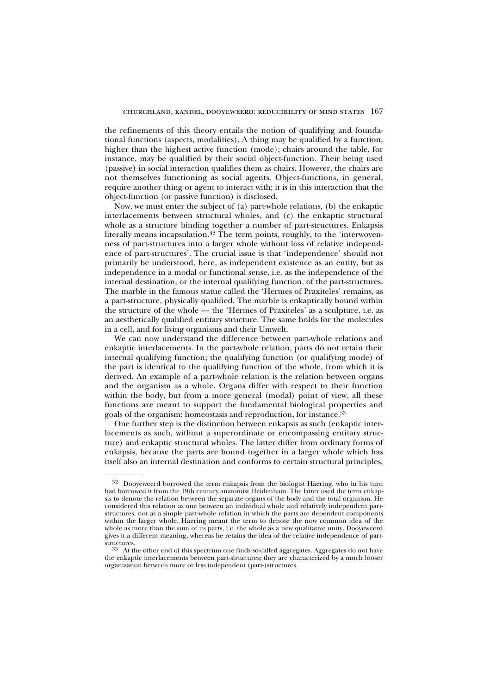the refinements of this theory entails the notion of qualifying and foundational functions (aspects, modalities). A thing may be qualified by a function, higher than the highest active function (mode); chairs around the table, for instance, may be qualified by their social object-function. Their being used (passive) in social interaction qualifies them as chairs. However, the chairs are not themselves functioning as social agents. Object-functions, in general, require another thing or agent to interact with; it is in this interaction that the object-function (or passive function) is disclosed.

Now, we must enter the subject of (a) part-whole relations, (b) the enkaptic interlacements between structural wholes, and (c) the enkaptic structural whole as a structure binding together a number of part-structures. Enkapsis literally means incapsulation.<sup>32</sup> The term points, roughly, to the 'interwovenness of part-structures into a larger whole without loss of relative independence of part-structures'. The crucial issue is that 'independence' should not primarily be understood, here, as independent existence as an entity, but as independence in a modal or functional sense, i.e. as the independence of the internal destination, or the internal qualifying function, of the part-structures. The marble in the famous statue called the 'Hermes of Praxiteles' remains, as a part-structure, physically qualified. The marble is enkaptically bound within the structure of the whole — the 'Hermes of Praxiteles' as a sculpture, i.e. as an aesthetically qualified entitary structure. The same holds for the molecules in a cell, and for living organisms and their Umwelt.

We can now understand the difference between part-whole relations and enkaptic interlacements. In the part-whole relation, parts do not retain their internal qualifying function; the qualifying function (or qualifying mode) of the part is identical to the qualifying function of the whole, from which it is derived. An example of a part-whole relation is the relation between organs and the organism as a whole. Organs differ with respect to their function within the body, but from a more general (modal) point of view, all these functions are meant to support the fundamental biological properties and goals of the organism: homeostasis and reproduction, for instance.33

One further step is the distinction between enkapsis as such (enkaptic interlacements as such, without a superordinate or encompassing entitary structure) and enkaptic structural wholes. The latter differ from ordinary forms of enkapsis, because the parts are bound together in a larger whole which has itself also an internal destination and conforms to certain structural principles,

<sup>32</sup> Dooyeweerd borrowed the term enkapsis from the biologist Haering, who in his turn had borrowed it from the 19th century anatomist Heidenhain. The latter used the term enkapsis to denote the relation between the separate organs of the body and the total organism. He considered this relation as one between an individual whole and relatively independent partstructures; not as a simple part-whole relation in which the parts are dependent components within the larger whole. Haering meant the term to denote the now common idea of the whole as more than the sum of its parts, i.e. the whole as a new qualitative unity. Dooyeweerd gives it a different meaning, whereas he retains the idea of the relative independence of part-

structures. 33 At the other end of this spectrum one finds so-called aggregates. Aggregates do not have the enkaptic interlacements between part-structures; they are characterized by a much looser organization between more or less independent (part-)structures.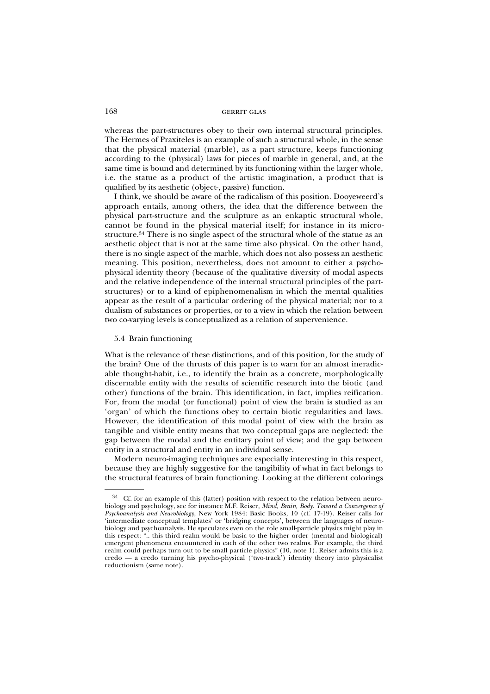whereas the part-structures obey to their own internal structural principles. The Hermes of Praxiteles is an example of such a structural whole, in the sense that the physical material (marble), as a part structure, keeps functioning according to the (physical) laws for pieces of marble in general, and, at the same time is bound and determined by its functioning within the larger whole, i.e. the statue as a product of the artistic imagination, a product that is qualified by its aesthetic (object-, passive) function.

I think, we should be aware of the radicalism of this position. Dooyeweerd's approach entails, among others, the idea that the difference between the physical part-structure and the sculpture as an enkaptic structural whole, cannot be found in the physical material itself; for instance in its microstructure.34 There is no single aspect of the structural whole of the statue as an aesthetic object that is not at the same time also physical. On the other hand, there is no single aspect of the marble, which does not also possess an aesthetic meaning. This position, nevertheless, does not amount to either a psychophysical identity theory (because of the qualitative diversity of modal aspects and the relative independence of the internal structural principles of the partstructures) or to a kind of epiphenomenalism in which the mental qualities appear as the result of a particular ordering of the physical material; nor to a dualism of substances or properties, or to a view in which the relation between two co-varying levels is conceptualized as a relation of supervenience.

## 5.4 Brain functioning

 $\overline{a}$ 

What is the relevance of these distinctions, and of this position, for the study of the brain? One of the thrusts of this paper is to warn for an almost ineradicable thought-habit, i.e., to identify the brain as a concrete, morphologically discernable entity with the results of scientific research into the biotic (and other) functions of the brain. This identification, in fact, implies reification. For, from the modal (or functional) point of view the brain is studied as an 'organ' of which the functions obey to certain biotic regularities and laws. However, the identification of this modal point of view with the brain as tangible and visible entity means that two conceptual gaps are neglected: the gap between the modal and the entitary point of view; and the gap between entity in a structural and entity in an individual sense.

Modern neuro-imaging techniques are especially interesting in this respect, because they are highly suggestive for the tangibility of what in fact belongs to the structural features of brain functioning. Looking at the different colorings

<sup>34</sup> Cf. for an example of this (latter) position with respect to the relation between neurobiology and psychology, see for instance M.F. Reiser, *Mind, Brain, Body. Toward a Convergence of Psychoanalysis and Neurobiology*, New York 1984: Basic Books, 10 (cf. 17-19). Reiser calls for 'intermediate conceptual templates' or 'bridging concepts', between the languages of neurobiology and psychoanalysis. He speculates even on the role small-particle physics might play in this respect: ".. this third realm would be basic to the higher order (mental and biological) emergent phenomena encountered in each of the other two realms. For example, the third realm could perhaps turn out to be small particle physics" (10, note 1). Reiser admits this is a credo — a credo turning his psycho-physical ('two-track') identity theory into physicalist reductionism (same note).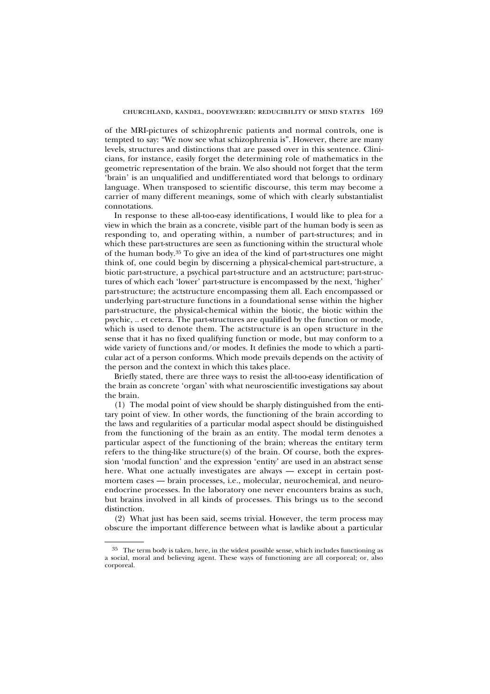of the MRI-pictures of schizophrenic patients and normal controls, one is tempted to say: "We now see what schizophrenia is". However, there are many levels, structures and distinctions that are passed over in this sentence. Clinicians, for instance, easily forget the determining role of mathematics in the geometric representation of the brain. We also should not forget that the term 'brain' is an unqualified and undifferentiated word that belongs to ordinary language. When transposed to scientific discourse, this term may become a carrier of many different meanings, some of which with clearly substantialist connotations.

In response to these all-too-easy identifications, I would like to plea for a view in which the brain as a concrete, visible part of the human body is seen as responding to, and operating within, a number of part-structures; and in which these part-structures are seen as functioning within the structural whole of the human body.35 To give an idea of the kind of part-structures one might think of, one could begin by discerning a physical-chemical part-structure, a biotic part-structure, a psychical part-structure and an actstructure; part-structures of which each 'lower' part-structure is encompassed by the next, 'higher' part-structure; the actstructure encompassing them all. Each encompassed or underlying part-structure functions in a foundational sense within the higher part-structure, the physical-chemical within the biotic, the biotic within the psychic, .. et cetera. The part-structures are qualified by the function or mode, which is used to denote them. The actstructure is an open structure in the sense that it has no fixed qualifying function or mode, but may conform to a wide variety of functions and/or modes. It definies the mode to which a particular act of a person conforms. Which mode prevails depends on the activity of the person and the context in which this takes place.

Briefly stated, there are three ways to resist the all-too-easy identification of the brain as concrete 'organ' with what neuroscientific investigations say about the brain.

(1) The modal point of view should be sharply distinguished from the entitary point of view. In other words, the functioning of the brain according to the laws and regularities of a particular modal aspect should be distinguished from the functioning of the brain as an entity. The modal term denotes a particular aspect of the functioning of the brain; whereas the entitary term refers to the thing-like structure(s) of the brain. Of course, both the expression 'modal function' and the expression 'entity' are used in an abstract sense here. What one actually investigates are always — except in certain postmortem cases — brain processes, i.e., molecular, neurochemical, and neuroendocrine processes. In the laboratory one never encounters brains as such, but brains involved in all kinds of processes. This brings us to the second distinction.

(2) What just has been said, seems trivial. However, the term process may obscure the important difference between what is lawlike about a particular

 $35$  The term body is taken, here, in the widest possible sense, which includes functioning as a social, moral and believing agent. These ways of functioning are all corporeal; or, also corporeal.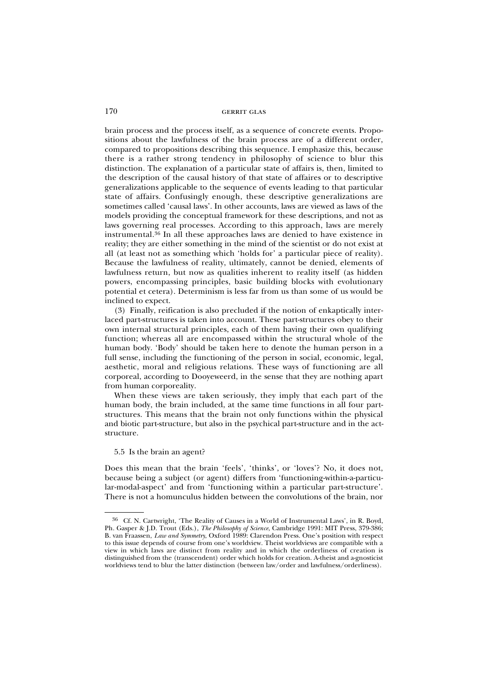brain process and the process itself, as a sequence of concrete events. Propositions about the lawfulness of the brain process are of a different order, compared to propositions describing this sequence. I emphasize this, because there is a rather strong tendency in philosophy of science to blur this distinction. The explanation of a particular state of affairs is, then, limited to the description of the causal history of that state of affaires or to descriptive generalizations applicable to the sequence of events leading to that particular state of affairs. Confusingly enough, these descriptive generalizations are sometimes called 'causal laws'. In other accounts, laws are viewed as laws of the models providing the conceptual framework for these descriptions, and not as laws governing real processes. According to this approach, laws are merely instrumental.36 In all these approaches laws are denied to have existence in reality; they are either something in the mind of the scientist or do not exist at all (at least not as something which 'holds for' a particular piece of reality). Because the lawfulness of reality, ultimately, cannot be denied, elements of lawfulness return, but now as qualities inherent to reality itself (as hidden powers, encompassing principles, basic building blocks with evolutionary potential et cetera). Determinism is less far from us than some of us would be inclined to expect.

(3) Finally, reification is also precluded if the notion of enkaptically interlaced part-structures is taken into account. These part-structures obey to their own internal structural principles, each of them having their own qualifying function; whereas all are encompassed within the structural whole of the human body. 'Body' should be taken here to denote the human person in a full sense, including the functioning of the person in social, economic, legal, aesthetic, moral and religious relations. These ways of functioning are all corporeal, according to Dooyeweerd, in the sense that they are nothing apart from human corporeality.

When these views are taken seriously, they imply that each part of the human body, the brain included, at the same time functions in all four partstructures. This means that the brain not only functions within the physical and biotic part-structure, but also in the psychical part-structure and in the actstructure.

## 5.5 Is the brain an agent?

 $\overline{a}$ 

Does this mean that the brain 'feels', 'thinks', or 'loves'? No, it does not, because being a subject (or agent) differs from 'functioning-within-a-particular-modal-aspect' and from 'functioning within a particular part-structure'. There is not a homunculus hidden between the convolutions of the brain, nor

<sup>36</sup> Cf. N. Cartwright, 'The Reality of Causes in a World of Instrumental Laws', in R. Boyd, Ph. Gasper & J.D. Trout (Eds.), *The Philosophy of Science*, Cambridge 1991: MIT Press, 379-386; B. van Fraassen, *Law and Symmetry*, Oxford 1989: Clarendon Press. One's position with respect to this issue depends of course from one's worldview. Theist worldviews are compatible with a view in which laws are distinct from reality and in which the orderliness of creation is distinguished from the (transcendent) order which holds for creation. A-theist and a-gnosticist worldviews tend to blur the latter distinction (between law/order and lawfulness/orderliness).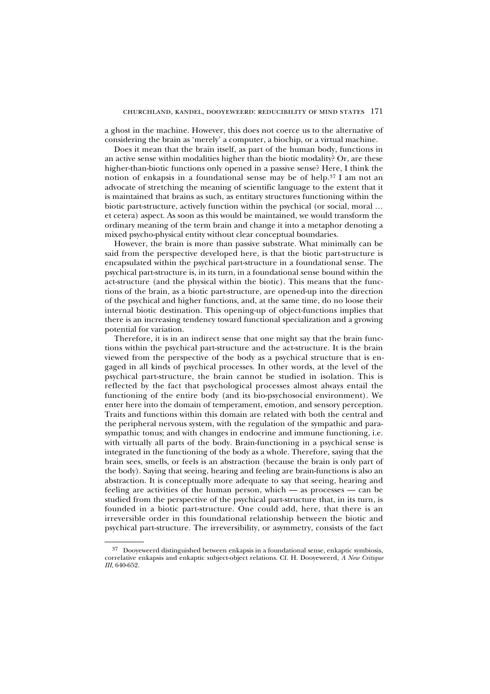a ghost in the machine. However, this does not coerce us to the alternative of considering the brain as 'merely' a computer, a biochip, or a virtual machine.

Does it mean that the brain itself, as part of the human body, functions in an active sense within modalities higher than the biotic modality? Or, are these higher-than-biotic functions only opened in a passive sense? Here, I think the notion of enkapsis in a foundational sense may be of help.37 I am not an advocate of stretching the meaning of scientific language to the extent that it is maintained that brains as such, as entitary structures functioning within the biotic part-structure, actively function within the psychical (or social, moral … et cetera) aspect. As soon as this would be maintained, we would transform the ordinary meaning of the term brain and change it into a metaphor denoting a mixed psycho-physical entity without clear conceptual boundaries.

However, the brain is more than passive substrate. What minimally can be said from the perspective developed here, is that the biotic part-structure is encapsulated within the psychical part-structure in a foundational sense. The psychical part-structure is, in its turn, in a foundational sense bound within the act-structure (and the physical within the biotic). This means that the functions of the brain, as a biotic part-structure, are opened-up into the direction of the psychical and higher functions, and, at the same time, do no loose their internal biotic destination. This opening-up of object-functions implies that there is an increasing tendency toward functional specialization and a growing potential for variation.

Therefore, it is in an indirect sense that one might say that the brain functions within the psychical part-structure and the act-structure. It is the brain viewed from the perspective of the body as a psychical structure that is engaged in all kinds of psychical processes. In other words, at the level of the psychical part-structure, the brain cannot be studied in isolation. This is reflected by the fact that psychological processes almost always entail the functioning of the entire body (and its bio-psychosocial environment). We enter here into the domain of temperament, emotion, and sensory perception. Traits and functions within this domain are related with both the central and the peripheral nervous system, with the regulation of the sympathic and parasympathic tonus; and with changes in endocrine and immune functioning, i.e. with virtually all parts of the body. Brain-functioning in a psychical sense is integrated in the functioning of the body as a whole. Therefore, saying that the brain sees, smells, or feels is an abstraction (because the brain is only part of the body). Saying that seeing, hearing and feeling are brain-functions is also an abstraction. It is conceptually more adequate to say that seeing, hearing and feeling are activities of the human person, which — as processes — can be studied from the perspective of the psychical part-structure that, in its turn, is founded in a biotic part-structure. One could add, here, that there is an irreversible order in this foundational relationship between the biotic and psychical part-structure. The irreversibility, or asymmetry, consists of the fact

 $37$  Dooyeweerd distinguished between enkapsis in a foundational sense, enkaptic symbiosis, correlative enkapsis and enkaptic subject-object relations. Cf. H. Dooyeweerd, *A New Critique III*, 640-652.